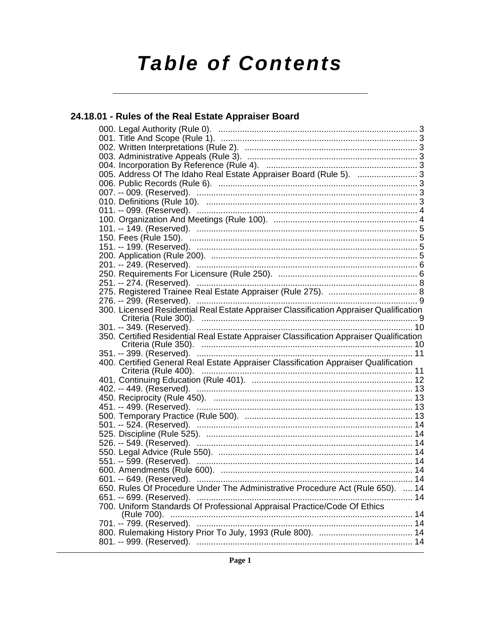# **Table of Contents**

# 24.18.01 - Rules of the Real Estate Appraiser Board

| 005. Address Of The Idaho Real Estate Appraiser Board (Rule 5). 3                       |  |
|-----------------------------------------------------------------------------------------|--|
|                                                                                         |  |
|                                                                                         |  |
|                                                                                         |  |
|                                                                                         |  |
|                                                                                         |  |
|                                                                                         |  |
|                                                                                         |  |
|                                                                                         |  |
|                                                                                         |  |
|                                                                                         |  |
|                                                                                         |  |
|                                                                                         |  |
|                                                                                         |  |
|                                                                                         |  |
| 300. Licensed Residential Real Estate Appraiser Classification Appraiser Qualification  |  |
| 301. -- 349. (Reserved). …………………………………………………………………………… 10                               |  |
| 350. Certified Residential Real Estate Appraiser Classification Appraiser Qualification |  |
|                                                                                         |  |
|                                                                                         |  |
| 400. Certified General Real Estate Appraiser Classification Appraiser Qualification     |  |
|                                                                                         |  |
| 402. -- 449. (Reserved). ………………………………………………………………………… 13                                |  |
|                                                                                         |  |
|                                                                                         |  |
|                                                                                         |  |
|                                                                                         |  |
|                                                                                         |  |
|                                                                                         |  |
|                                                                                         |  |
|                                                                                         |  |
| 551. -- 599. (Reserved). ………………………………………………………………………… 14                                |  |
|                                                                                         |  |
|                                                                                         |  |
| 650. Rules Of Procedure Under The Administrative Procedure Act (Rule 650).  14          |  |
|                                                                                         |  |
| 700. Uniform Standards Of Professional Appraisal Practice/Code Of Ethics                |  |
|                                                                                         |  |
|                                                                                         |  |
|                                                                                         |  |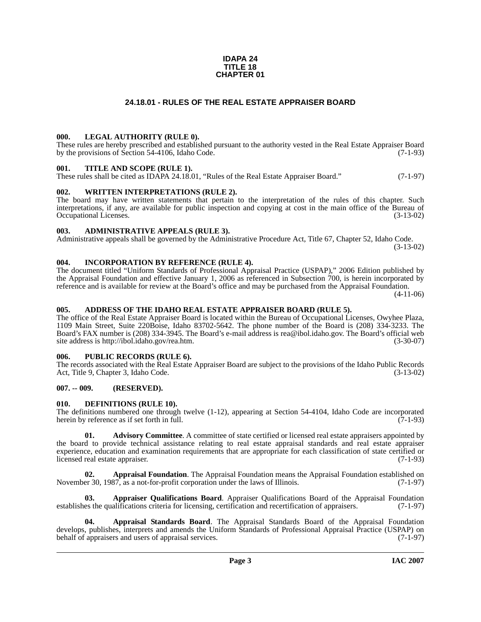#### **IDAPA 24 TITLE 18 CHAPTER 01**

# **24.18.01 - RULES OF THE REAL ESTATE APPRAISER BOARD**

### <span id="page-1-1"></span><span id="page-1-0"></span>**000. LEGAL AUTHORITY (RULE 0).**

These rules are hereby prescribed and established pursuant to the authority vested in the Real Estate Appraiser Board by the provisions of Section 54-4106, Idaho Code. (7-1-93)

#### <span id="page-1-2"></span>**001. TITLE AND SCOPE (RULE 1).**

These rules shall be cited as IDAPA 24.18.01, "Rules of the Real Estate Appraiser Board." (7-1-97)

### <span id="page-1-3"></span>**002. WRITTEN INTERPRETATIONS (RULE 2).**

The board may have written statements that pertain to the interpretation of the rules of this chapter. Such interpretations, if any, are available for public inspection and copying at cost in the main office of the Bureau of Occupational Licenses. (3-13-02) Occupational Licenses.

### <span id="page-1-4"></span>**003. ADMINISTRATIVE APPEALS (RULE 3).**

Administrative appeals shall be governed by the Administrative Procedure Act, Title 67, Chapter 52, Idaho Code. (3-13-02)

<span id="page-1-5"></span>**004. INCORPORATION BY REFERENCE (RULE 4).**

The document titled "Uniform Standards of Professional Appraisal Practice (USPAP)," 2006 Edition published by the Appraisal Foundation and effective January 1, 2006 as referenced in Subsection 700, is herein incorporated by reference and is available for review at the Board's office and may be purchased from the Appraisal Foundation.

(4-11-06)

### <span id="page-1-6"></span>**005. ADDRESS OF THE IDAHO REAL ESTATE APPRAISER BOARD (RULE 5).**

[The office of the Real Estate Appraiser Board is located within the Bureau of Occupational Licenses, Owyhee Plaza,](mailto:rea@ibol.idaho.gov)  1109 Main Street, Suite 220Boise, Idaho 83702-5642. The phone number of the Board is (208) 334-3233. The Board's FAX number is (208) 334-3945. The Board's e-mail address is rea@ibol.idaho.gov. The Board's official web [site address is](mailto:rea@ibol.idaho.gov) [http://ibol.idaho.gov/rea.htm. \(3-30-07\)](http://ibol.idaho.gov/rea.htm)

#### <span id="page-1-7"></span>**006. PUBLIC RECORDS (RULE 6).**

The records associated with the Real Estate Appraiser Board are subject to the provisions of the Idaho Public Records Act, Title 9, Chapter 3, Idaho Code. (3-13-02)

#### <span id="page-1-8"></span>**007. -- 009. (RESERVED).**

#### <span id="page-1-14"></span><span id="page-1-9"></span>**010. DEFINITIONS (RULE 10).**

The definitions numbered one through twelve (1-12), appearing at Section 54-4104, Idaho Code are incorporated herein by reference as if set forth in full. (7-1-93) herein by reference as if set forth in full.

<span id="page-1-10"></span>**01.** Advisory Committee. A committee of state certified or licensed real estate appraisers appointed by the board to provide technical assistance relating to real estate appraisal standards and real estate appraiser experience, education and examination requirements that are appropriate for each classification of state certified or licensed real estate appraiser. (7-1-93)

<span id="page-1-11"></span>**02. Appraisal Foundation**. The Appraisal Foundation means the Appraisal Foundation established on November 30, 1987, as a not-for-profit corporation under the laws of Illinois. (7-1-97)

<span id="page-1-13"></span>**03. Appraiser Qualifications Board**. Appraiser Qualifications Board of the Appraisal Foundation establishes the qualifications criteria for licensing, certification and recertification of appraisers. (7-1-97)

<span id="page-1-12"></span>**04. Appraisal Standards Board**. The Appraisal Standards Board of the Appraisal Foundation develops, publishes, interprets and amends the Uniform Standards of Professional Appraisal Practice (USPAP) on behalf of appraisers and users of appraisal services. (7-1-97) behalf of appraisers and users of appraisal services.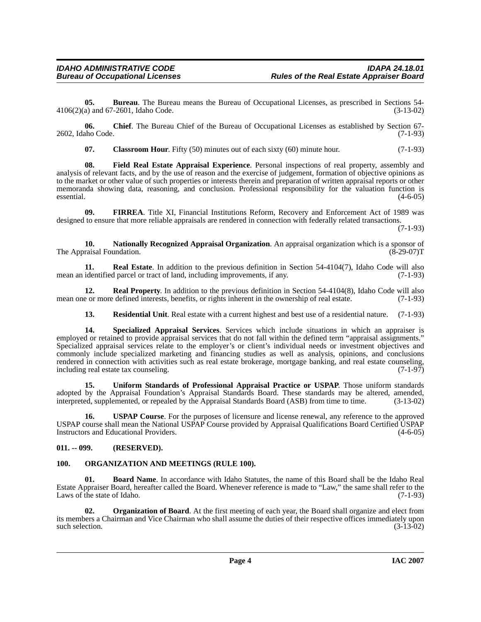**05. Bureau**. The Bureau means the Bureau of Occupational Licenses, as prescribed in Sections 54-4106(2)(a) and 67-2601, Idaho Code. (3-13-02)

**06. Chief**. The Bureau Chief of the Bureau of Occupational Licenses as established by Section 67- 2602, Idaho Code. (7-1-93)

<span id="page-2-5"></span><span id="page-2-3"></span>**07.** Classroom Hour. Fifty (50) minutes out of each sixty (60) minute hour. (7-1-93)

**08. Field Real Estate Appraisal Experience**. Personal inspections of real property, assembly and analysis of relevant facts, and by the use of reason and the exercise of judgement, formation of objective opinions as to the market or other value of such properties or interests therein and preparation of written appraisal reports or other memoranda showing data, reasoning, and conclusion. Professional responsibility for the valuation function is essential. (4-6-05)

<span id="page-2-4"></span>**09. FIRREA**. Title XI, Financial Institutions Reform, Recovery and Enforcement Act of 1989 was designed to ensure that more reliable appraisals are rendered in connection with federally related transactions.

(7-1-93)

<span id="page-2-6"></span>**10. Nationally Recognized Appraisal Organization**. An appraisal organization which is a sponsor of The Appraisal Foundation. (8-29-07) T

<span id="page-2-9"></span>**11. Real Estate**. In addition to the previous definition in Section 54-4104(7), Idaho Code will also mean an identified parcel or tract of land, including improvements, if any. (7-1-93)

**12. Real Property**. In addition to the previous definition in Section 54-4104(8), Idaho Code will also mean one or more defined interests, benefits, or rights inherent in the ownership of real estate. (7-1-93)

<span id="page-2-12"></span><span id="page-2-11"></span><span id="page-2-10"></span>**13. Residential Unit**. Real estate with a current highest and best use of a residential nature. (7-1-93)

**14. Specialized Appraisal Services**. Services which include situations in which an appraiser is employed or retained to provide appraisal services that do not fall within the defined term "appraisal assignments." Specialized appraisal services relate to the employer's or client's individual needs or investment objectives and commonly include specialized marketing and financing studies as well as analysis, opinions, and conclusions rendered in connection with activities such as real estate brokerage, mortgage banking, and real estate counseling, including real estate tax counseling. (7-1-97)

<span id="page-2-14"></span>**15. Uniform Standards of Professional Appraisal Practice or USPAP**. Those uniform standards adopted by the Appraisal Foundation's Appraisal Standards Board. These standards may be altered, amended, interpreted, supplemented, or repealed by the Appraisal Standards Board (ASB) from time to time. (3-13-02) interpreted, supplemented, or repealed by the Appraisal Standards Board (ASB) from time to time.

<span id="page-2-13"></span>**16. USPAP Course**. For the purposes of licensure and license renewal, any reference to the approved USPAP course shall mean the National USPAP Course provided by Appraisal Qualifications Board Certified USPAP Instructors and Educational Providers. (4-6-05)

# <span id="page-2-0"></span>**011. -- 099. (RESERVED).**

# <span id="page-2-7"></span><span id="page-2-1"></span>**100. ORGANIZATION AND MEETINGS (RULE 100).**

<span id="page-2-2"></span>**Board Name**. In accordance with Idaho Statutes, the name of this Board shall be the Idaho Real Estate Appraiser Board, hereafter called the Board. Whenever reference is made to "Law," the same shall refer to the Laws of the state of Idaho. (7-1-93)

<span id="page-2-8"></span>**02. Organization of Board**. At the first meeting of each year, the Board shall organize and elect from its members a Chairman and Vice Chairman who shall assume the duties of their respective offices immediately upon such selection.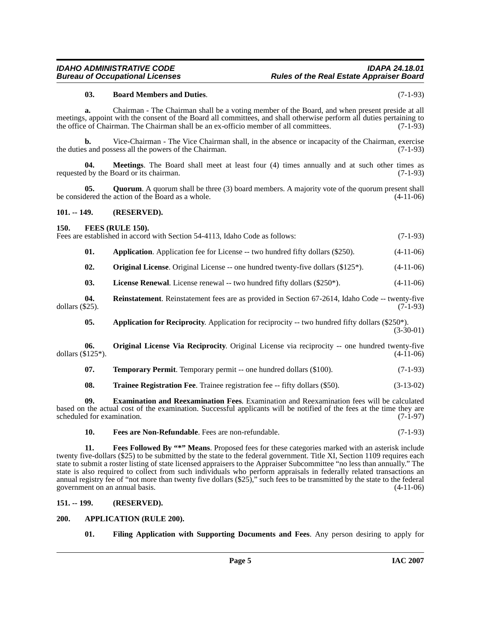### <span id="page-3-6"></span>**03. Board Members and Duties**. (7-1-93)

**a.** Chairman - The Chairman shall be a voting member of the Board, and when present preside at all meetings, appoint with the consent of the Board all committees, and shall otherwise perform all duties pertaining to the office of Chairman. The Chairman shall be an ex-officio member of all committees. (7-1-93)

**b.** Vice-Chairman - The Vice Chairman shall, in the absence or incapacity of the Chairman, exercise the duties and possess all the powers of the Chairman. (7-1-93)

**04. Meetings**. The Board shall meet at least four (4) times annually and at such other times as d by the Board or its chairman. (7-1-93) requested by the Board or its chairman.

**05. Quorum**. A quorum shall be three (3) board members. A majority vote of the quorum present shall be considered the action of the Board as a whole. (4-11-06)

#### <span id="page-3-0"></span>**101. -- 149. (RESERVED).**

#### <span id="page-3-8"></span><span id="page-3-1"></span>**150. FEES (RULE 150).**

Fees are established in accord with Section 54-4113, Idaho Code as follows: (7-1-93)

| 01. |  | <b>Application.</b> Application fee for License -- two hundred fifty dollars (\$250). | $(4-11-06)$ |
|-----|--|---------------------------------------------------------------------------------------|-------------|
|     |  |                                                                                       |             |

<span id="page-3-13"></span><span id="page-3-12"></span>**02. Original License**. Original License -- one hundred twenty-five dollars (\$125<sup>\*</sup>). (4-11-06)

<span id="page-3-15"></span>**03.** License Renewal. License renewal -- two hundred fifty dollars (\$250\*). (4-11-06)

**04.** Reinstatement. Reinstatement fees are as provided in Section 67-2614, Idaho Code -- twenty-five \$25). dollars  $(\$25)$ .

<span id="page-3-14"></span><span id="page-3-5"></span>**05.** Application for Reciprocity. Application for reciprocity -- two hundred fifty dollars (\$250\*).  $(3-30-01)$ 

**06. Original License Via Reciprocity**. Original License via reciprocity -- one hundred twenty-five dollars  $(\$125^*)$ . (4-11-06)

<span id="page-3-16"></span>

| 07. |  |  |  |  | <b>Temporary Permit.</b> Temporary permit -- one hundred dollars (\$100). |  |  |  | $(7-1-93)$ |  |
|-----|--|--|--|--|---------------------------------------------------------------------------|--|--|--|------------|--|
|-----|--|--|--|--|---------------------------------------------------------------------------|--|--|--|------------|--|

<span id="page-3-17"></span><span id="page-3-7"></span>**08. Trainee Registration Fee**. Trainee registration fee -- fifty dollars (\$50). (3-13-02)

**09. Examination and Reexamination Fees**. Examination and Reexamination fees will be calculated based on the actual cost of the examination. Successful applicants will be notified of the fees at the time they are scheduled for examination. (7-1-97)

<span id="page-3-10"></span><span id="page-3-9"></span>**10. Fees are Non-Refundable**. Fees are non-refundable. (7-1-93)

**11. Fees Followed By "\*" Means**. Proposed fees for these categories marked with an asterisk include twenty five-dollars (\$25) to be submitted by the state to the federal government. Title XI, Section 1109 requires each state to submit a roster listing of state licensed appraisers to the Appraiser Subcommittee "no less than annually." The state is also required to collect from such individuals who perform appraisals in federally related transactions an annual registry fee of "not more than twenty five dollars (\$25)," such fees to be transmitted by the state to the federal government on an annual basis. (4-11-06)

#### <span id="page-3-2"></span>**151. -- 199. (RESERVED).**

#### <span id="page-3-3"></span>**200. APPLICATION (RULE 200).**

<span id="page-3-11"></span><span id="page-3-4"></span>**01. Filing Application with Supporting Documents and Fees**. Any person desiring to apply for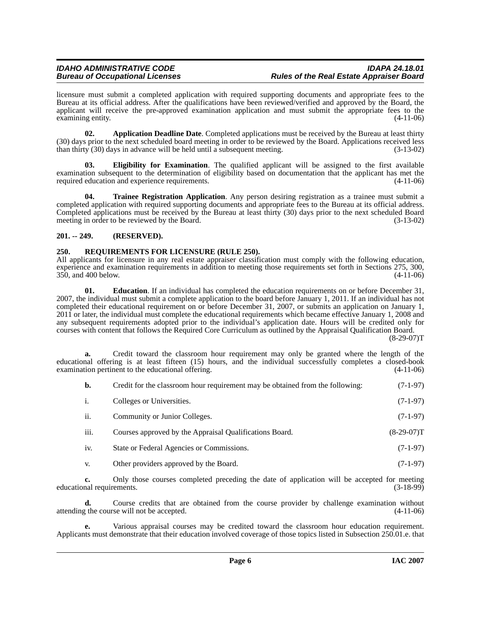licensure must submit a completed application with required supporting documents and appropriate fees to the Bureau at its official address. After the qualifications have been reviewed/verified and approved by the Board, the applicant will receive the pre-approved examination application and must submit the appropriate fees to the examining entity. (4-11-06) examining entity.

<span id="page-4-2"></span>**02. Application Deadline Date**. Completed applications must be received by the Bureau at least thirty (30) days prior to the next scheduled board meeting in order to be reviewed by the Board. Applications received less than thirty  $(30)$  days in advance will be held until a subsequent meeting.  $(3-13-02)$ 

<span id="page-4-4"></span>**03. Eligibility for Examination**. The qualified applicant will be assigned to the first available examination subsequent to the determination of eligibility based on documentation that the applicant has met the required education and experience requirements. (4-11-06)

<span id="page-4-6"></span>**04. Trainee Registration Application**. Any person desiring registration as a trainee must submit a completed application with required supporting documents and appropriate fees to the Bureau at its official address. Completed applications must be received by the Bureau at least thirty (30) days prior to the next scheduled Board meeting in order to be reviewed by the Board. (3-13-02) meeting in order to be reviewed by the Board.

# <span id="page-4-0"></span>**201. -- 249. (RESERVED).**

# <span id="page-4-5"></span><span id="page-4-1"></span>**250. REQUIREMENTS FOR LICENSURE (RULE 250).**

All applicants for licensure in any real estate appraiser classification must comply with the following education, experience and examination requirements in addition to meeting those requirements set forth in Sections 275, 300, 350, and 400 below. (4-11-06)

<span id="page-4-3"></span>**01. Education**. If an individual has completed the education requirements on or before December 31, 2007, the individual must submit a complete application to the board before January 1, 2011. If an individual has not completed their educational requirement on or before December 31, 2007, or submits an application on January 1, 2011 or later, the individual must complete the educational requirements which became effective January 1, 2008 and any subsequent requirements adopted prior to the individual's application date. Hours will be credited only for courses with content that follows the Required Core Curriculum as outlined by the Appraisal Qualification Board.

 $(8-29-07)T$ 

**a.** Credit toward the classroom hour requirement may only be granted where the length of the educational offering is at least fifteen (15) hours, and the individual successfully completes a closed-book examination pertinent to the educational offering. (4-11-06)

| b. | Credit for the classroom hour requirement may be obtained from the following: | $(7-1-97)$ |
|----|-------------------------------------------------------------------------------|------------|
|----|-------------------------------------------------------------------------------|------------|

| Colleges or Universities. | $(7-1-97)$ |
|---------------------------|------------|
|                           |            |

- ii. Community or Junior Colleges. (7-1-97)
- iii. Courses approved by the Appraisal Qualifications Board. (8-29-07) (8-29-07)
- iv. State or Federal Agencies or Commissions. (7-1-97)
- v. Other providers approved by the Board. (7-1-97)

**c.** Only those courses completed preceding the date of application will be accepted for meeting nal requirements. (3-18-99) educational requirements.

**d.** Course credits that are obtained from the course provider by challenge examination without attending the course will not be accepted. (4-11-06)

**e.** Various appraisal courses may be credited toward the classroom hour education requirement. Applicants must demonstrate that their education involved coverage of those topics listed in Subsection 250.01.e. that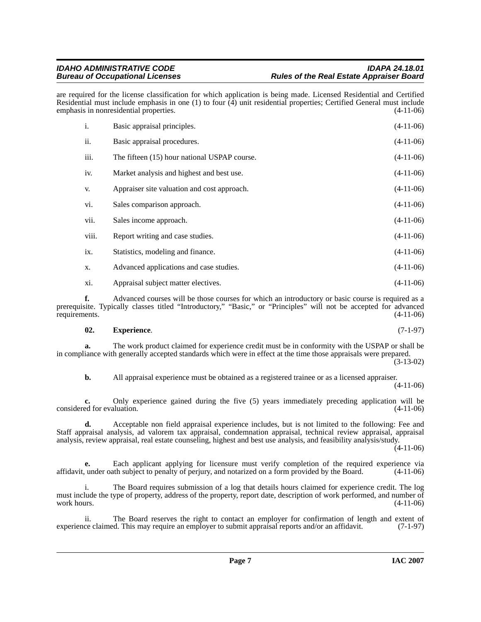are required for the license classification for which application is being made. Licensed Residential and Certified Residential must include emphasis in one (1) to four  $(4)$  unit residential properties; Certified General must include emphasis in nonresidential properties. (4-11-06)

| i.    | Basic appraisal principles.                  | $(4-11-06)$ |
|-------|----------------------------------------------|-------------|
| ii.   | Basic appraisal procedures.                  | $(4-11-06)$ |
| iii.  | The fifteen (15) hour national USPAP course. | $(4-11-06)$ |
| iv.   | Market analysis and highest and best use.    | $(4-11-06)$ |
| V.    | Appraiser site valuation and cost approach.  | $(4-11-06)$ |
| vi.   | Sales comparison approach.                   | $(4-11-06)$ |
| vii.  | Sales income approach.                       | $(4-11-06)$ |
| viii. | Report writing and case studies.             | $(4-11-06)$ |
| ix.   | Statistics, modeling and finance.            | $(4-11-06)$ |
| X.    | Advanced applications and case studies.      | $(4-11-06)$ |
| xi.   | Appraisal subject matter electives.          | $(4-11-06)$ |

**f.** Advanced courses will be those courses for which an introductory or basic course is required as a prerequisite. Typically classes titled "Introductory," "Basic," or "Principles" will not be accepted for advanced requirements. (4-11-06)

#### <span id="page-5-0"></span>**02. Experience**. (7-1-97)

**a.** The work product claimed for experience credit must be in conformity with the USPAP or shall be in compliance with generally accepted standards which were in effect at the time those appraisals were prepared.  $(3-13-02)$ 

**b.** All appraisal experience must be obtained as a registered trainee or as a licensed appraiser. (4-11-06)

**c.** Only experience gained during the five (5) years immediately preceding application will be ed for evaluation. (4-11-06) considered for evaluation.

**d.** Acceptable non field appraisal experience includes, but is not limited to the following: Fee and Staff appraisal analysis, ad valorem tax appraisal, condemnation appraisal, technical review appraisal, appraisal analysis, review appraisal, real estate counseling, highest and best use analysis, and feasibility analysis/study.

 $(4-11-06)$ 

Each applicant applying for licensure must verify completion of the required experience via the subject to penalty of perjury, and notarized on a form provided by the Board. (4-11-06) affidavit, under oath subject to penalty of perjury, and notarized on a form provided by the Board.

i. The Board requires submission of a log that details hours claimed for experience credit. The log must include the type of property, address of the property, report date, description of work performed, and number of work hours.  $(4-11-06)$ 

ii. The Board reserves the right to contact an employer for confirmation of length and extent of ce claimed. This may require an employer to submit appraisal reports and/or an affidavit. (7-1-97) experience claimed. This may require an employer to submit appraisal reports and/or an affidavit.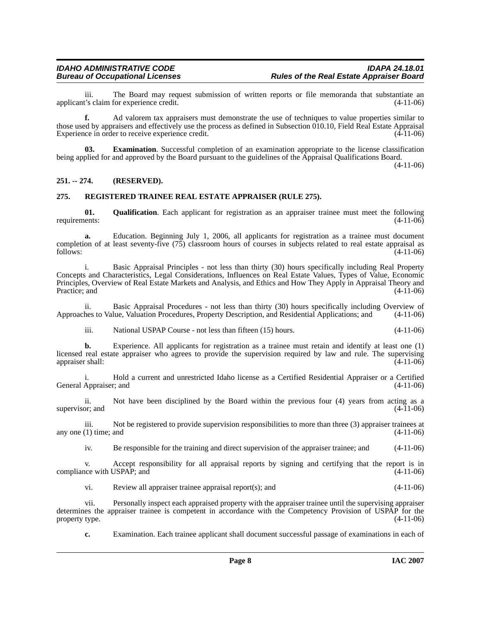iii. The Board may request submission of written reports or file memoranda that substantiate an t's claim for experience credit. (4-11-06) applicant's claim for experience credit.

**f.** Ad valorem tax appraisers must demonstrate the use of techniques to value properties similar to those used by appraisers and effectively use the process as defined in Subsection 010.10, Field Real Estate Appraisal Experience in order to receive experience credit. (4-11-06)

<span id="page-6-2"></span>**Examination**. Successful completion of an examination appropriate to the license classification being applied for and approved by the Board pursuant to the guidelines of the Appraisal Qualifications Board.

(4-11-06)

# <span id="page-6-0"></span>**251. -- 274. (RESERVED).**

# <span id="page-6-4"></span><span id="page-6-1"></span>**275. REGISTERED TRAINEE REAL ESTATE APPRAISER (RULE 275).**

<span id="page-6-3"></span>**01. Qualification**. Each applicant for registration as an appraiser trainee must meet the following ents: (4-11-06) requirements:

**a.** Education. Beginning July 1, 2006, all applicants for registration as a trainee must document completion of at least seventy-five  $(75)$  classroom hours of courses in subjects related to real estate appraisal as follows:  $(4-11-06)$ follows:  $(4-11-06)$ 

i. Basic Appraisal Principles - not less than thirty (30) hours specifically including Real Property Concepts and Characteristics, Legal Considerations, Influences on Real Estate Values, Types of Value, Economic Principles, Overview of Real Estate Markets and Analysis, and Ethics and How They Apply in Appraisal Theory and Practice; and  $(4-11-06)$ 

ii. Basic Appraisal Procedures - not less than thirty (30) hours specifically including Overview of hes to Value, Valuation Procedures, Property Description, and Residential Applications; and (4-11-06) Approaches to Value, Valuation Procedures, Property Description, and Residential Applications; and

iii. National USPAP Course - not less than fifteen (15) hours. (4-11-06)

**b.** Experience. All applicants for registration as a trainee must retain and identify at least one (1) licensed real estate appraiser who agrees to provide the supervision required by law and rule. The supervising appraiser shall: (4-11-06) appraiser shall:

i. Hold a current and unrestricted Idaho license as a Certified Residential Appraiser or a Certified General Appraiser; and (4-11-06)

ii. Not have been disciplined by the Board within the previous four (4) years from acting as a or: and  $(4-11-06)$ supervisor; and

iii. Not be registered to provide supervision responsibilities to more than three (3) appraiser trainees at  $(1)$  time; and  $(4-11-06)$ any one  $(1)$  time; and

iv. Be responsible for the training and direct supervision of the appraiser trainee; and (4-11-06)

v. Accept responsibility for all appraisal reports by signing and certifying that the report is in compliance with USPAP; and (4-11-06)

vi. Review all appraiser trainee appraisal report(s); and (4-11-06)

vii. Personally inspect each appraised property with the appraiser trainee until the supervising appraiser determines the appraiser trainee is competent in accordance with the Competency Provision of USPAP for the property type. (4-11-06) property type.

**c.** Examination. Each trainee applicant shall document successful passage of examinations in each of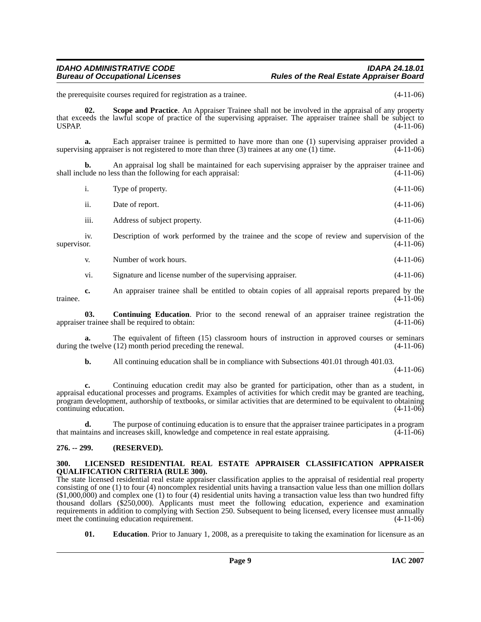# *IDAHO ADMINISTRATIVE CODE IDAPA 24.18.01* **Rules of the Real Estate Appraiser Board**

the prerequisite courses required for registration as a trainee. (4-11-06)

<span id="page-7-5"></span>**02. Scope and Practice**. An Appraiser Trainee shall not be involved in the appraisal of any property that exceeds the lawful scope of practice of the supervising appraiser. The appraiser trainee shall be subject to USPAP. (4-11-06)

**a.** Each appraiser trainee is permitted to have more than one (1) supervising appraiser provided a supervising appraiser is not registered to more than three  $(3)$  trainees at any one  $(1)$  time.  $(4-11-06)$ 

**b.** An appraisal log shall be maintained for each supervising appraiser by the appraiser trainee and lude no less than the following for each appraisal: (4-11-06) shall include no less than the following for each appraisal:

i. Type of property. (4-11-06)

- ii. Date of report. (4-11-06)
- iii. Address of subject property. (4-11-06)

iv. Description of work performed by the trainee and the scope of review and supervision of the supervisor.  $(4-11-06)$ 

v. Number of work hours. (4-11-06)

<span id="page-7-2"></span>vi. Signature and license number of the supervising appraiser. (4-11-06)

**c.** An appraiser trainee shall be entitled to obtain copies of all appraisal reports prepared by the trainee. (4-11-06)

**03. Continuing Education**. Prior to the second renewal of an appraiser trainee registration the appraiser trainee shall be required to obtain: (4-11-06)

**a.** The equivalent of fifteen (15) classroom hours of instruction in approved courses or seminars during the twelve (12) month period preceding the renewal. (4-11-06)

**b.** All continuing education shall be in compliance with Subsections 401.01 through 401.03.

(4-11-06)

**c.** Continuing education credit may also be granted for participation, other than as a student, in appraisal educational processes and programs. Examples of activities for which credit may be granted are teaching, program development, authorship of textbooks, or similar activities that are determined to be equivalent to obtaining continuing education. (4-11-06)

**d.** The purpose of continuing education is to ensure that the appraiser trainee participates in a program trains and increases skill, knowledge and competence in real estate appraising. (4-11-06) that maintains and increases skill, knowledge and competence in real estate appraising.

# <span id="page-7-0"></span>**276. -- 299. (RESERVED).**

#### <span id="page-7-4"></span><span id="page-7-1"></span>**300. LICENSED RESIDENTIAL REAL ESTATE APPRAISER CLASSIFICATION APPRAISER QUALIFICATION CRITERIA (RULE 300).**

The state licensed residential real estate appraiser classification applies to the appraisal of residential real property consisting of one (1) to four (4) noncomplex residential units having a transaction value less than one million dollars (\$1,000,000) and complex one (1) to four (4) residential units having a transaction value less than two hundred fifty thousand dollars (\$250,000). Applicants must meet the following education, experience and examination requirements in addition to complying with Section 250. Subsequent to being licensed, every licensee must annually meet the continuing education requirement. (4-11-06) meet the continuing education requirement.

<span id="page-7-3"></span>**01. Education**. Prior to January 1, 2008, as a prerequisite to taking the examination for licensure as an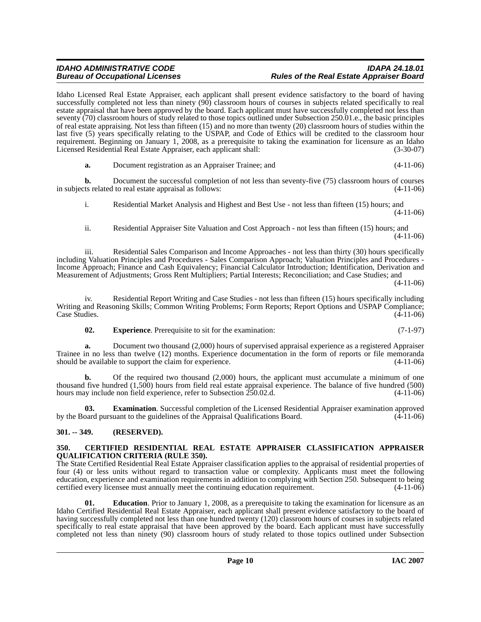### *IDAHO ADMINISTRATIVE CODE IDAPA 24.18.01* **Rules of the Real Estate Appraiser Board**

Idaho Licensed Real Estate Appraiser, each applicant shall present evidence satisfactory to the board of having successfully completed not less than ninety (90) classroom hours of courses in subjects related specifically to real estate appraisal that have been approved by the board. Each applicant must have successfully completed not less than seventy (70) classroom hours of study related to those topics outlined under Subsection 250.01.e., the basic principles of real estate appraising. Not less than fifteen (15) and no more than twenty (20) classroom hours of studies within the last five (5) years specifically relating to the USPAP, and Code of Ethics will be credited to the classroom hour requirement. Beginning on January 1, 2008, as a prerequisite to taking the examination for licensure as an Idaho Licensed Residential Real Estate Appraiser, each applicant shall: (3-30-07)

**a.** Document registration as an Appraiser Trainee; and (4-11-06)

**b.** Document the successful completion of not less than seventy-five (75) classroom hours of courses that the successful completion of not less than seventy-five (75) classroom hours of courses in subjects related to real estate appraisal as follows:

i. Residential Market Analysis and Highest and Best Use - not less than fifteen (15) hours; and (4-11-06)

ii. Residential Appraiser Site Valuation and Cost Approach - not less than fifteen (15) hours; and (4-11-06)

iii. Residential Sales Comparison and Income Approaches - not less than thirty (30) hours specifically including Valuation Principles and Procedures - Sales Comparison Approach; Valuation Principles and Procedures - Income Approach; Finance and Cash Equivalency; Financial Calculator Introduction; Identification, Derivation and Measurement of Adjustments; Gross Rent Multipliers; Partial Interests; Reconciliation; and Case Studies; and

(4-11-06)

iv. Residential Report Writing and Case Studies - not less than fifteen (15) hours specifically including Writing and Reasoning Skills; Common Writing Problems; Form Reports; Report Options and USPAP Compliance; Case Studies. (4-11-06) Case Studies. (4-11-06)

<span id="page-8-5"></span>**02. Experience**. Prerequisite to sit for the examination: (7-1-97)

**a.** Document two thousand (2,000) hours of supervised appraisal experience as a registered Appraiser Trainee in no less than twelve (12) months. Experience documentation in the form of reports or file memoranda should be available to support the claim for experience. (4-11-06) should be available to support the claim for experience.

**b.** Of the required two thousand (2,000) hours, the applicant must accumulate a minimum of one thousand five hundred (1,500) hours from field real estate appraisal experience. The balance of five hundred (500) hours may include non field experience, refer to Subsection 250.02.d. (4-11-06)

<span id="page-8-4"></span>**03. Examination**. Successful completion of the Licensed Residential Appraiser examination approved by the Board pursuant to the guidelines of the Appraisal Qualifications Board. (4-11-06)

# <span id="page-8-0"></span>**301. -- 349. (RESERVED).**

#### <span id="page-8-2"></span><span id="page-8-1"></span>**350. CERTIFIED RESIDENTIAL REAL ESTATE APPRAISER CLASSIFICATION APPRAISER QUALIFICATION CRITERIA (RULE 350).**

The State Certified Residential Real Estate Appraiser classification applies to the appraisal of residential properties of four (4) or less units without regard to transaction value or complexity. Applicants must meet the following education, experience and examination requirements in addition to complying with Section 250. Subsequent to being certified every licensee must annually meet the continuing education requirement. (4-11-06)

<span id="page-8-3"></span>**01. Education**. Prior to January 1, 2008, as a prerequisite to taking the examination for licensure as an Idaho Certified Residential Real Estate Appraiser, each applicant shall present evidence satisfactory to the board of having successfully completed not less than one hundred twenty (120) classroom hours of courses in subjects related specifically to real estate appraisal that have been approved by the board. Each applicant must have successfully completed not less than ninety (90) classroom hours of study related to those topics outlined under Subsection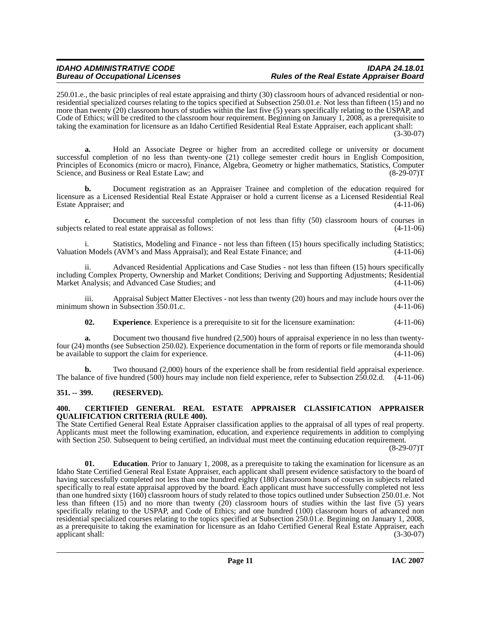# *IDAHO ADMINISTRATIVE CODE IDAPA 24.18.01* **Rules of the Real Estate Appraiser Board**

250.01.e., the basic principles of real estate appraising and thirty (30) classroom hours of advanced residential or nonresidential specialized courses relating to the topics specified at Subsection 250.01.e. Not less than fifteen (15) and no more than twenty (20) classroom hours of studies within the last five (5) years specifically relating to the USPAP, and Code of Ethics; will be credited to the classroom hour requirement. Beginning on January 1, 2008, as a prerequisite to taking the examination for licensure as an Idaho Certified Residential Real Estate Appraiser, each applicant shall:

(3-30-07)

**a.** Hold an Associate Degree or higher from an accredited college or university or document successful completion of no less than twenty-one (21) college semester credit hours in English Composition, Principles of Economics (micro or macro), Finance, Algebra, Geometry or higher mathematics, Statistics, Computer<br>Science, and Business or Real Estate Law; and (8-29-07) Science, and Business or Real Estate Law; and

**b.** Document registration as an Appraiser Trainee and completion of the education required for licensure as a Licensed Residential Real Estate Appraiser or hold a current license as a Licensed Residential Real Estate Appraiser; and (4-11-06)

**c.** Document the successful completion of not less than fifty (50) classroom hours of courses in subjects related to real estate appraisal as follows: (4-11-06)

i. Statistics, Modeling and Finance - not less than fifteen (15) hours specifically including Statistics; Valuation Models (AVM's and Mass Appraisal); and Real Estate Finance; and (4-11-06)

ii. Advanced Residential Applications and Case Studies - not less than fifteen (15) hours specifically including Complex Property, Ownership and Market Conditions; Deriving and Supporting Adjustments; Residential Market Analysis; and Advanced Case Studies; and (4-11-06)

iii. Appraisal Subject Matter Electives - not less than twenty (20) hours and may include hours over the n shown in Subsection 350.01.c. minimum shown in Subsection  $350.01.c.$ 

<span id="page-9-4"></span>**02. Experience**. Experience is a prerequisite to sit for the licensure examination: (4-11-06)

**a.** Document two thousand five hundred (2,500) hours of appraisal experience in no less than twentyfour (24) months (see Subsection 250.02). Experience documentation in the form of reports or file memoranda should be available to support the claim for experience. (4-11-06)

**b.** Two thousand (2,000) hours of the experience shall be from residential field appraisal experience. The balance of five hundred (500) hours may include non field experience, refer to Subsection 250.02.d. (4-11-06)

# <span id="page-9-0"></span>**351. -- 399. (RESERVED).**

# <span id="page-9-2"></span><span id="page-9-1"></span>**400. CERTIFIED GENERAL REAL ESTATE APPRAISER CLASSIFICATION APPRAISER QUALIFICATION CRITERIA (RULE 400).**

The State Certified General Real Estate Appraiser classification applies to the appraisal of all types of real property. Applicants must meet the following examination, education, and experience requirements in addition to complying with Section 250. Subsequent to being certified, an individual must meet the continuing education requirement.

(8-29-07)T

<span id="page-9-3"></span>**Education**. Prior to January 1, 2008, as a prerequisite to taking the examination for licensure as an Idaho State Certified General Real Estate Appraiser, each applicant shall present evidence satisfactory to the board of having successfully completed not less than one hundred eighty (180) classroom hours of courses in subjects related specifically to real estate appraisal approved by the board. Each applicant must have successfully completed not less than one hundred sixty (160) classroom hours of study related to those topics outlined under Subsection 250.01.e. Not less than fifteen  $(15)$  and no more than twenty  $(20)$  classroom hours of studies within the last five (5) years specifically relating to the USPAP, and Code of Ethics; and one hundred (100) classroom hours of advanced non residential specialized courses relating to the topics specified at Subsection 250.01.e. Beginning on January 1, 2008, as a prerequisite to taking the examination for licensure as an Idaho Certified General Real Estate Appraiser, each applicant shall: (3-30-07)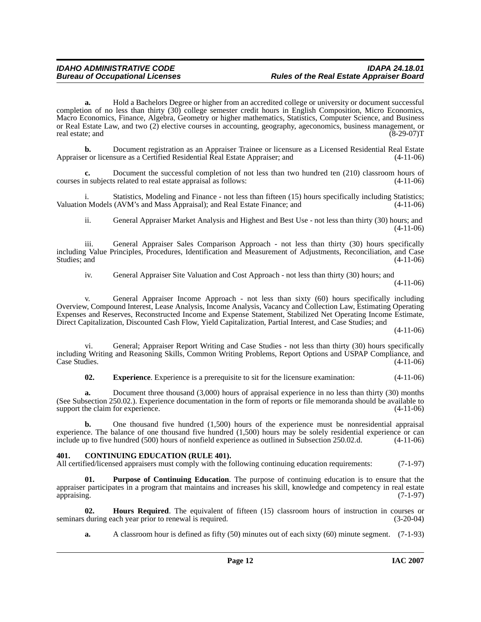**a.** Hold a Bachelors Degree or higher from an accredited college or university or document successful completion of no less than thirty (30) college semester credit hours in English Composition, Micro Economics, Macro Economics, Finance, Algebra, Geometry or higher mathematics, Statistics, Computer Science, and Business or Real Estate Law, and two (2) elective courses in accounting, geography, ageconomics, business management, or real estate; and (8-29-07)T

**b.** Document registration as an Appraiser Trainee or licensure as a Licensed Residential Real Estate Appraiser or licensure as a Certified Residential Real Estate Appraiser; and (4-11-06)

**c.** Document the successful completion of not less than two hundred ten (210) classroom hours of courses in subjects related to real estate appraisal as follows: (4-11-06)

i. Statistics, Modeling and Finance - not less than fifteen (15) hours specifically including Statistics; Valuation Models (AVM's and Mass Appraisal); and Real Estate Finance; and (4-11-06)

ii. General Appraiser Market Analysis and Highest and Best Use - not less than thirty (30) hours; and (4-11-06)

iii. General Appraiser Sales Comparison Approach - not less than thirty (30) hours specifically including Value Principles, Procedures, Identification and Measurement of Adjustments, Reconciliation, and Case Studies; and (4-11-06)

iv. General Appraiser Site Valuation and Cost Approach - not less than thirty (30) hours; and (4-11-06)

v. General Appraiser Income Approach - not less than sixty (60) hours specifically including Overview, Compound Interest, Lease Analysis, Income Analysis, Vacancy and Collection Law, Estimating Operating Expenses and Reserves, Reconstructed Income and Expense Statement, Stabilized Net Operating Income Estimate, Direct Capitalization, Discounted Cash Flow, Yield Capitalization, Partial Interest, and Case Studies; and

(4-11-06)

vi. General; Appraiser Report Writing and Case Studies - not less than thirty (30) hours specifically including Writing and Reasoning Skills, Common Writing Problems, Report Options and USPAP Compliance, and Case Studies. (4-11-06)

<span id="page-10-2"></span>**02. Experience**. Experience is a prerequisite to sit for the licensure examination: (4-11-06)

**a.** Document three thousand (3,000) hours of appraisal experience in no less than thirty (30) months (See Subsection 250.02.). Experience documentation in the form of reports or file memoranda should be available to support the claim for experience. (4-11-06)

**b.** One thousand five hundred (1,500) hours of the experience must be nonresidential appraisal experience. The balance of one thousand five hundred (1,500) hours may be solely residential experience or can include up to five hundred (500) hours of nonfield experience as outlined in Subsection 250.02.d. (4-11-06)

# <span id="page-10-1"></span><span id="page-10-0"></span>**401. CONTINUING EDUCATION (RULE 401).**

<span id="page-10-4"></span>All certified/licensed appraisers must comply with the following continuing education requirements: (7-1-97)

Purpose of Continuing Education. The purpose of continuing education is to ensure that the appraiser participates in a program that maintains and increases his skill, knowledge and competency in real estate appraising. (7-1-97)

**02. Hours Required**. The equivalent of fifteen (15) classroom hours of instruction in courses or during each year prior to renewal is required. (3-20-04) seminars during each year prior to renewal is required.

<span id="page-10-3"></span>**a.** A classroom hour is defined as fifty (50) minutes out of each sixty (60) minute segment. (7-1-93)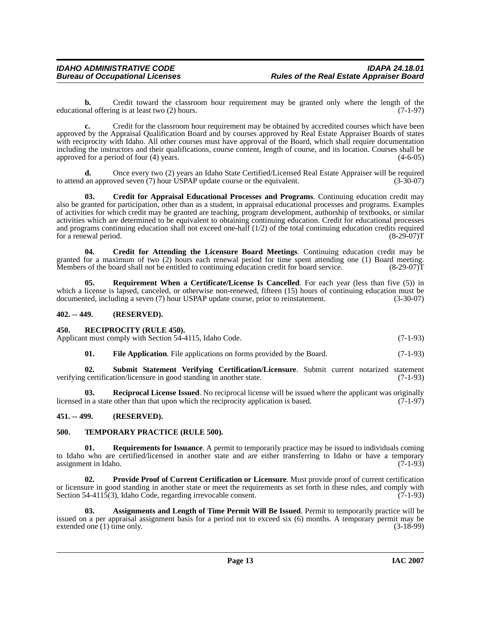**b.** Credit toward the classroom hour requirement may be granted only where the length of the nal offering is at least two (2) hours. (7-1-97) educational offering is at least two  $(2)$  hours.

**c.** Credit for the classroom hour requirement may be obtained by accredited courses which have been approved by the Appraisal Qualification Board and by courses approved by Real Estate Appraiser Boards of states with reciprocity with Idaho. All other courses must have approval of the Board, which shall require documentation including the instructors and their qualifications, course content, length of course, and its location. Courses shall be approved for a period of four (4) years. (4-6-05)

**d.** Once every two (2) years an Idaho State Certified/Licensed Real Estate Appraiser will be required to attend an approved seven (7) hour USPAP update course or the equivalent. (3-30-07)

<span id="page-11-5"></span>**03. Credit for Appraisal Educational Processes and Programs**. Continuing education credit may also be granted for participation, other than as a student, in appraisal educational processes and programs. Examples of activities for which credit may be granted are teaching, program development, authorship of textbooks, or similar activities which are determined to be equivalent to obtaining continuing education. Credit for educational processes and programs continuing education shall not exceed one-half (1/2) of the total continuing education credits required for a renewal period. (8-29-07)T

<span id="page-11-6"></span>**04. Credit for Attending the Licensure Board Meetings**. Continuing education credit may be granted for a maximum of two (2) hours each renewal period for time spent attending one (1) Board meeting.<br>Members of the board shall not be entitled to continuing education credit for board service. (8-29-07) Members of the board shall not be entitled to continuing education credit for board service.

<span id="page-11-11"></span>**05. Requirement When a Certificate/License Is Cancelled**. For each year (less than five (5)) in which a license is lapsed, canceled, or otherwise non-renewed, fifteen (15) hours of continuing education must be documented, including a seven (7) hour USPAP update course, prior to reinstatement. (3-30-07)

## <span id="page-11-0"></span>**402. -- 449. (RESERVED).**

#### <span id="page-11-10"></span><span id="page-11-1"></span>**450. RECIPROCITY (RULE 450).**

Applicant must comply with Section 54-4115, Idaho Code. (7-1-93)

<span id="page-11-13"></span><span id="page-11-9"></span><span id="page-11-7"></span>**01.** File Application. File applications on forms provided by the Board. (7-1-93)

**02. Submit Statement Verifying Certification/Licensure**. Submit current notarized statement certification/licensure in good standing in another state. (7-1-93) verifying certification/licensure in good standing in another state.

**03. Reciprocal License Issued**. No reciprocal license will be issued where the applicant was originally in a state other than that upon which the reciprocity application is based. (7-1-97) licensed in a state other than that upon which the reciprocity application is based.

# <span id="page-11-2"></span>**451. -- 499. (RESERVED).**

# <span id="page-11-14"></span><span id="page-11-3"></span>**500. TEMPORARY PRACTICE (RULE 500).**

<span id="page-11-12"></span>**01. Requirements for Issuance**. A permit to temporarily practice may be issued to individuals coming to Idaho who are certified/licensed in another state and are either transferring to Idaho or have a temporary assignment in Idaho. (7-1-93)

<span id="page-11-8"></span>**02. Provide Proof of Current Certification or Licensure**. Must provide proof of current certification or licensure in good standing in another state or meet the requirements as set forth in these rules, and comply with Section 54-4115(3), Idaho Code, regarding irrevocable consent. (7-1-93)

<span id="page-11-4"></span>**03. Assignments and Length of Time Permit Will Be Issued**. Permit to temporarily practice will be issued on a per appraisal assignment basis for a period not to exceed six (6) months. A temporary permit may be extended one  $(1)$  time only.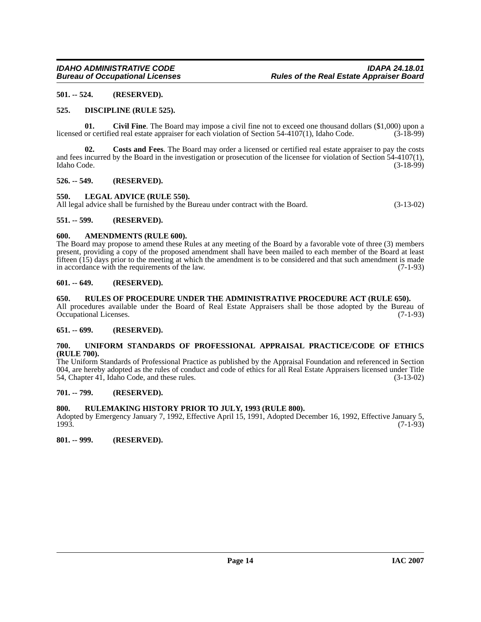# <span id="page-12-0"></span>**501. -- 524. (RESERVED).**

# <span id="page-12-16"></span><span id="page-12-1"></span>**525. DISCIPLINE (RULE 525).**

<span id="page-12-14"></span>**01. Civil Fine**. The Board may impose a civil fine not to exceed one thousand dollars (\$1,000) upon a licensed or certified real estate appraiser for each violation of Section 54-4107(1), Idaho Code. (3-18-99)

<span id="page-12-15"></span>**02. Costs and Fees**. The Board may order a licensed or certified real estate appraiser to pay the costs and fees incurred by the Board in the investigation or prosecution of the licensee for violation of Section 54-4107(1), Idaho Code. (3-18-99) Idaho Code. (3-18-99)

### <span id="page-12-2"></span>**526. -- 549. (RESERVED).**

<span id="page-12-17"></span><span id="page-12-3"></span>**550. LEGAL ADVICE (RULE 550).**

All legal advice shall be furnished by the Bureau under contract with the Board. (3-13-02)

# <span id="page-12-4"></span>**551. -- 599. (RESERVED).**

# <span id="page-12-13"></span><span id="page-12-5"></span>**600. AMENDMENTS (RULE 600).**

The Board may propose to amend these Rules at any meeting of the Board by a favorable vote of three (3) members present, providing a copy of the proposed amendment shall have been mailed to each member of the Board at least fifteen  $(15)$  days prior to the meeting at which the amendment is to be considered and that such amendment is made<br>in accordance with the requirements of the law. in accordance with the requirements of the law.

# <span id="page-12-6"></span>**601. -- 649. (RESERVED).**

### <span id="page-12-18"></span><span id="page-12-7"></span>**650. RULES OF PROCEDURE UNDER THE ADMINISTRATIVE PROCEDURE ACT (RULE 650).**

All procedures available under the Board of Real Estate Appraisers shall be those adopted by the Bureau of Occupational Licenses. (7-1-93) Occupational Licenses.

# <span id="page-12-8"></span>**651. -- 699. (RESERVED).**

### <span id="page-12-19"></span><span id="page-12-9"></span>**700. UNIFORM STANDARDS OF PROFESSIONAL APPRAISAL PRACTICE/CODE OF ETHICS (RULE 700).**

The Uniform Standards of Professional Practice as published by the Appraisal Foundation and referenced in Section 004, are hereby adopted as the rules of conduct and code of ethics for all Real Estate Appraisers licensed under Title 54. Chapter 41. Idaho Code, and these rules. (3-13-02) 54, Chapter 41, Idaho Code, and these rules.

# <span id="page-12-10"></span>**701. -- 799. (RESERVED).**

# <span id="page-12-11"></span>**800. RULEMAKING HISTORY PRIOR TO JULY, 1993 (RULE 800).**

Adopted by Emergency January 7, 1992, Effective April 15, 1991, Adopted December 16, 1992, Effective January 5, 1993. (7-1-93)

<span id="page-12-12"></span>**801. -- 999. (RESERVED).**